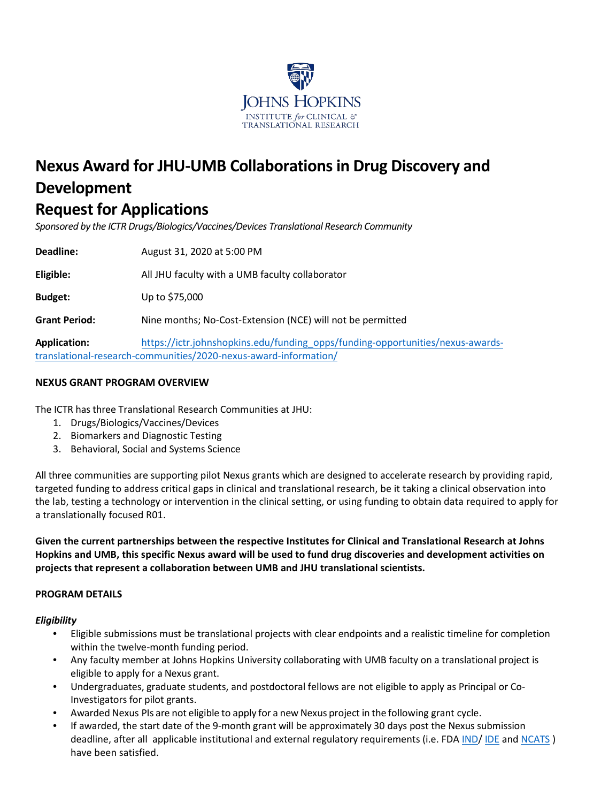

# **Nexus Award for JHU-UMB Collaborationsin Drug Discovery and Development**

# **Request for Applications**

*Sponsored by the ICTR Drugs/Biologics/Vaccines/Devices Translational Research Community* 

**Deadline:**  August 31, 2020 at 5:00 PM

**Eligible:**  All JHU faculty with a UMB faculty collaborator

**Budget:**  Up to \$75,000

**Grant Period:**  Nine months; No-Cost-Extension (NCE) will not be permitted

**Application:**  [https://ictr.johnshopkins.edu/funding\\_opps/funding-opportunities/nexus-awards](https://ictr.johnshopkins.edu/funding_opps/funding-opportunities/nexus-awards-translational-research-communities/2020-nexus-award-information/)[translational-research-communities/2020-nexus-award-information/](https://ictr.johnshopkins.edu/funding_opps/funding-opportunities/nexus-awards-translational-research-communities/2020-nexus-award-information/)

# **NEXUS GRANT PROGRAM OVERVIEW**

The ICTR has three Translational Research Communities at JHU:

- 1. Drugs/Biologics/Vaccines/Devices
- 2. Biomarkers and Diagnostic Testing
- 3. Behavioral, Social and Systems Science

All three communities are supporting pilot Nexus grants which are designed to accelerate research by providing rapid, targeted funding to address critical gaps in clinical and translational research, be it taking a clinical observation into the lab, testing a technology or intervention in the clinical setting, or using funding to obtain data required to apply for a translationally focused R01.

**Given the current partnerships between the respective Institutes for Clinical and Translational Research at Johns Hopkins and UMB, this specific Nexus award will be used to fund drug discoveries and development activities on projects that represent a collaboration between UMB and JHU translational scientists.** 

## **PROGRAM DETAILS**

## *Eligibility*

- Eligible submissions must be translational projects with clear endpoints and a realistic timeline for completion within the twelve-month funding period.
- Any faculty member at Johns Hopkins University collaborating with UMB faculty on a translational project is eligible to apply for a Nexus grant.
- Undergraduates, graduate students, and postdoctoral fellows are not eligible to apply as Principal or Co-Investigators for pilot grants.
- Awarded Nexus PIs are not eligible to apply for a new Nexus project in the following grant cycle.
- If awarded, the start date of the 9-month grant will be approximately 30 days post the Nexus submission deadline, after all applicable institutional and external regulatory requirements (i.e. FDA [IND/](https://www.fda.gov/drugs/types-applications/investigational-new-drug-ind-application) [IDE](https://www.fda.gov/medical-devices/how-study-and-market-your-device/investigational-device-exemption-ide) an[d NCATS](https://ncats.nih.gov/ctsa/funding/prior-approval-paga)) have been satisfied.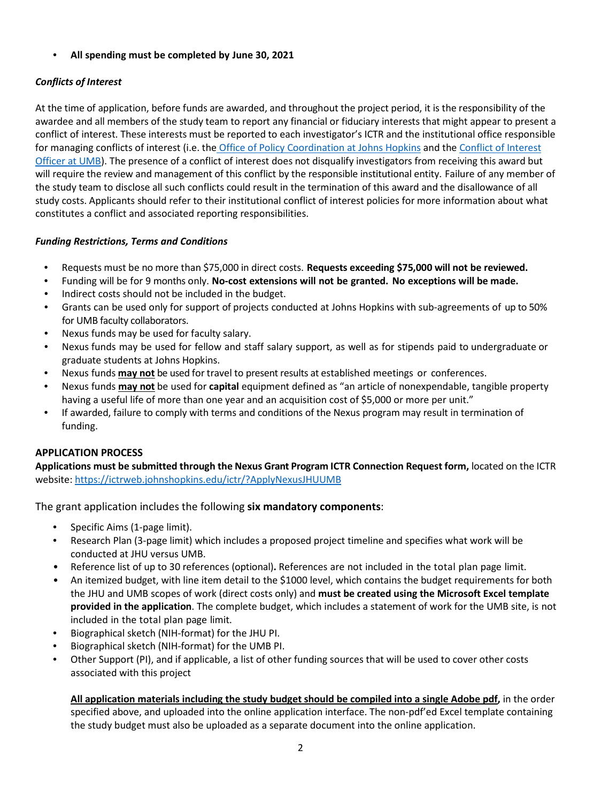# • **All spending must be completed by June 30, 2021**

# *Conflicts of Interest*

At the time of application, before funds are awarded, and throughout the project period, it is the responsibility of the awardee and all members of the study team to report any financial or fiduciary interests that might appear to present a conflict of interest. These interests must be reported to each investigator's ICTR and the institutional office responsible for managing conflicts of interest (i.e. the [Office of Policy Coordination at Johns Hopkins](https://www.hopkinsmedicine.org/research/resources/offices-policies/OPC/Outside_Interests/) and the [Conflict of Interest](https://www.umaryland.edu/oac/areas-of-responsibility/conflict-of-interest/)  [Officer at UMB\)](https://www.umaryland.edu/oac/areas-of-responsibility/conflict-of-interest/). The presence of a conflict of interest does not disqualify investigators from receiving this award but will require the review and management of this conflict by the responsible institutional entity. Failure of any member of the study team to disclose all such conflicts could result in the termination of this award and the disallowance of all study costs. Applicants should refer to their institutional conflict of interest policies for more information about what constitutes a conflict and associated reporting responsibilities.

# *Funding Restrictions, Terms and Conditions*

- Requests must be no more than \$75,000 in direct costs. **Requests exceeding \$75,000 will not be reviewed.**
- Funding will be for 9 months only. **No-cost extensions will not be granted. No exceptions will be made.**
- Indirect costs should not be included in the budget.
- Grants can be used only for support of projects conducted at Johns Hopkins with sub-agreements of up to 50% for UMB faculty collaborators.
- Nexus funds may be used for faculty salary.
- Nexus funds may be used for fellow and staff salary support, as well as for stipends paid to undergraduate or graduate students at Johns Hopkins.
- Nexus funds **may not** be used for travel to present results at established meetings or conferences.
- Nexus funds **may not** be used for **capital** equipment defined as ["an article of nonexpendable, tangible property](http://ssc.jhmi.edu/fixedassets/DataFiles/fast_facts_capital_assets.pdf)  [having a useful life of more than one year and an acquisition cost of \\$5,000 or more per unit."](http://ssc.jhmi.edu/fixedassets/DataFiles/fast_facts_capital_assets.pdf)
- If awarded, failure to comply with terms and conditions of the Nexus program may result in termination of funding.

# **APPLICATION PROCESS**

**Applications must be submitted through the Nexus Grant Program ICTR Connection Request form,** located on the ICTR website: <https://ictrweb.johnshopkins.edu/ictr/?ApplyNexusJHUUMB>

The grant application includes the following **six mandatory components**:

- Specific Aims (1-page limit).
- Research Plan (3-page limit) which includes a proposed project timeline and specifies what work will be conducted at JHU versus UMB.
- Reference list of up to 30 references (optional)**.** References are not included in the total plan page limit.
- An itemized budget, with line item detail to the \$1000 level, which contains the budget requirements for both the JHU and UMB scopes of work (direct costs only) and **must be created using the Microsoft Excel template provided in the application**. The complete budget, which includes a statement of work for the UMB site, is not included in the total plan page limit.
- Biographical sketch (NIH-format) for the JHU PI.
- Biographical sketch (NIH-format) for the UMB PI.
- [Other Support](https://grants.nih.gov/grants/forms/othersupport.htm) (PI), and if applicable, a list of other funding sources that will be used to cover other costs associated with this project

**All application materials including the study budget should be compiled into a single Adobe pdf,** in the order specified above, and uploaded into the online application interface. The non-pdf'ed Excel template containing the study budget must also be uploaded as a separate document into the online application.